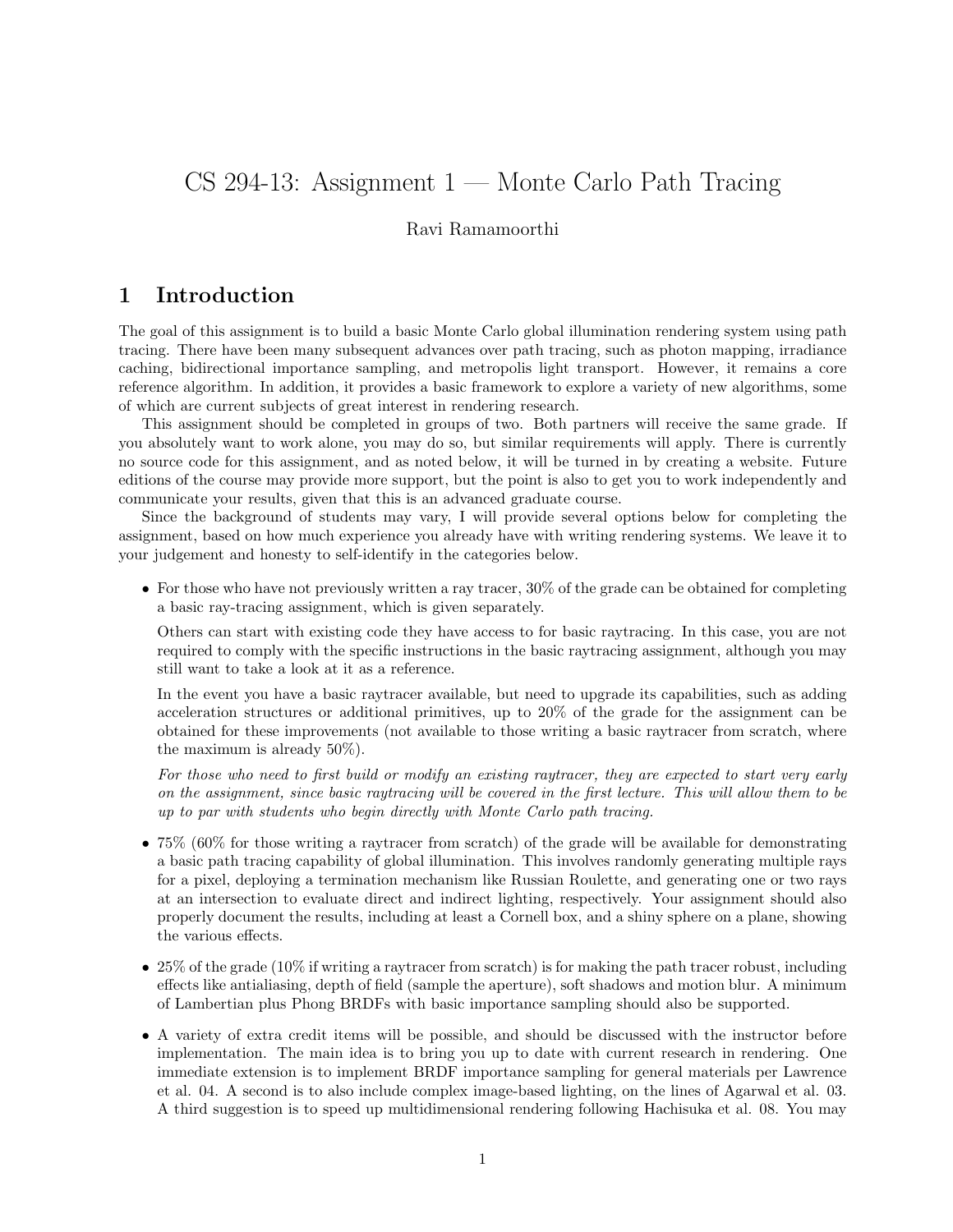# CS 294-13: Assignment 1 — Monte Carlo Path Tracing

#### Ravi Ramamoorthi

#### 1 Introduction

The goal of this assignment is to build a basic Monte Carlo global illumination rendering system using path tracing. There have been many subsequent advances over path tracing, such as photon mapping, irradiance caching, bidirectional importance sampling, and metropolis light transport. However, it remains a core reference algorithm. In addition, it provides a basic framework to explore a variety of new algorithms, some of which are current subjects of great interest in rendering research.

This assignment should be completed in groups of two. Both partners will receive the same grade. If you absolutely want to work alone, you may do so, but similar requirements will apply. There is currently no source code for this assignment, and as noted below, it will be turned in by creating a website. Future editions of the course may provide more support, but the point is also to get you to work independently and communicate your results, given that this is an advanced graduate course.

Since the background of students may vary, I will provide several options below for completing the assignment, based on how much experience you already have with writing rendering systems. We leave it to your judgement and honesty to self-identify in the categories below.

• For those who have not previously written a ray tracer, 30% of the grade can be obtained for completing a basic ray-tracing assignment, which is given separately.

Others can start with existing code they have access to for basic raytracing. In this case, you are not required to comply with the specific instructions in the basic raytracing assignment, although you may still want to take a look at it as a reference.

In the event you have a basic raytracer available, but need to upgrade its capabilities, such as adding acceleration structures or additional primitives, up to 20% of the grade for the assignment can be obtained for these improvements (not available to those writing a basic raytracer from scratch, where the maximum is already 50%).

For those who need to first build or modify an existing raytracer, they are expected to start very early on the assignment, since basic raytracing will be covered in the first lecture. This will allow them to be up to par with students who begin directly with Monte Carlo path tracing.

- 75% (60% for those writing a raytracer from scratch) of the grade will be available for demonstrating a basic path tracing capability of global illumination. This involves randomly generating multiple rays for a pixel, deploying a termination mechanism like Russian Roulette, and generating one or two rays at an intersection to evaluate direct and indirect lighting, respectively. Your assignment should also properly document the results, including at least a Cornell box, and a shiny sphere on a plane, showing the various effects.
- 25% of the grade (10% if writing a raytracer from scratch) is for making the path tracer robust, including effects like antialiasing, depth of field (sample the aperture), soft shadows and motion blur. A minimum of Lambertian plus Phong BRDFs with basic importance sampling should also be supported.
- A variety of extra credit items will be possible, and should be discussed with the instructor before implementation. The main idea is to bring you up to date with current research in rendering. One immediate extension is to implement BRDF importance sampling for general materials per Lawrence et al. 04. A second is to also include complex image-based lighting, on the lines of Agarwal et al. 03. A third suggestion is to speed up multidimensional rendering following Hachisuka et al. 08. You may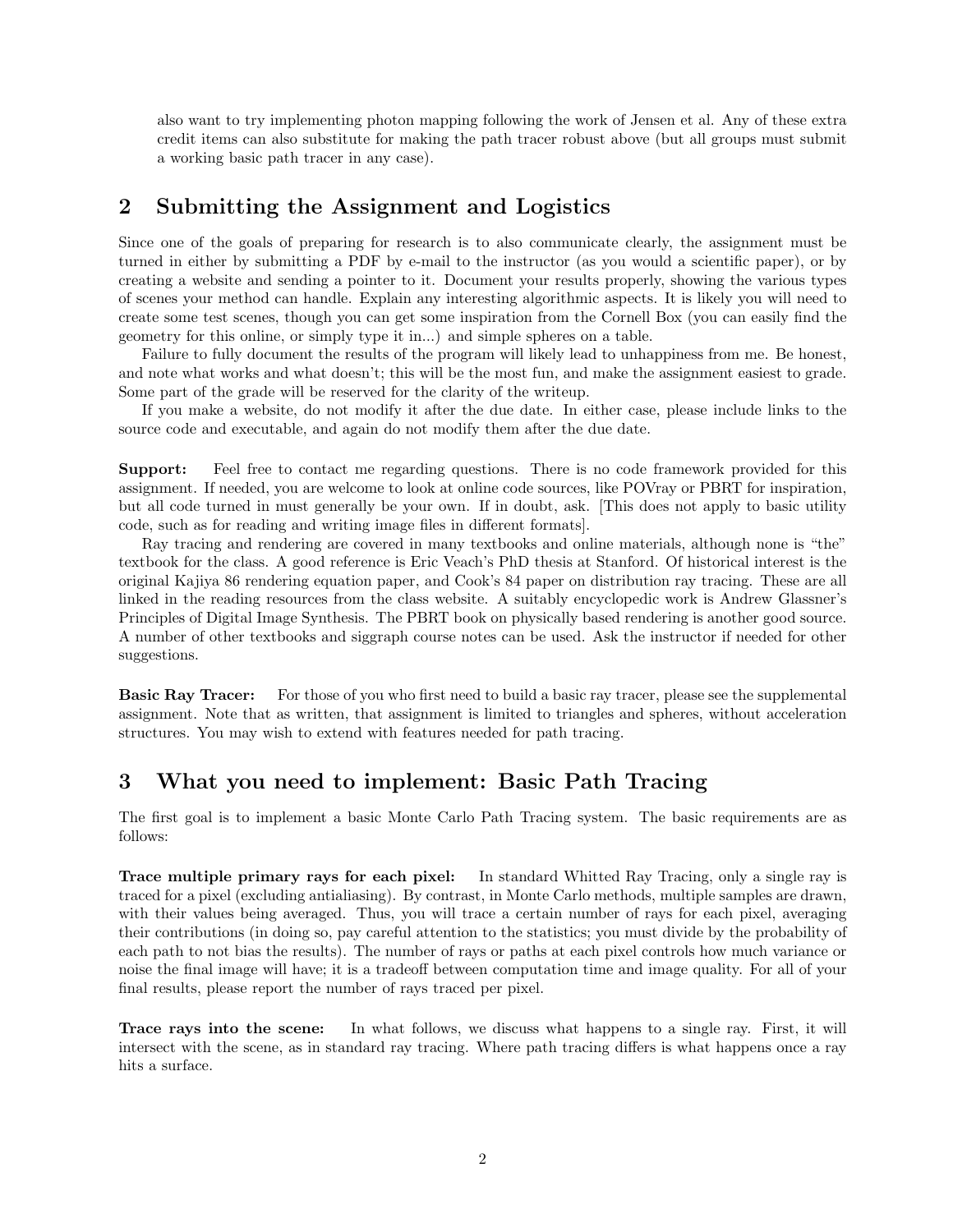also want to try implementing photon mapping following the work of Jensen et al. Any of these extra credit items can also substitute for making the path tracer robust above (but all groups must submit a working basic path tracer in any case).

#### 2 Submitting the Assignment and Logistics

Since one of the goals of preparing for research is to also communicate clearly, the assignment must be turned in either by submitting a PDF by e-mail to the instructor (as you would a scientific paper), or by creating a website and sending a pointer to it. Document your results properly, showing the various types of scenes your method can handle. Explain any interesting algorithmic aspects. It is likely you will need to create some test scenes, though you can get some inspiration from the Cornell Box (you can easily find the geometry for this online, or simply type it in...) and simple spheres on a table.

Failure to fully document the results of the program will likely lead to unhappiness from me. Be honest, and note what works and what doesn't; this will be the most fun, and make the assignment easiest to grade. Some part of the grade will be reserved for the clarity of the writeup.

If you make a website, do not modify it after the due date. In either case, please include links to the source code and executable, and again do not modify them after the due date.

Support: Feel free to contact me regarding questions. There is no code framework provided for this assignment. If needed, you are welcome to look at online code sources, like POVray or PBRT for inspiration, but all code turned in must generally be your own. If in doubt, ask. [This does not apply to basic utility code, such as for reading and writing image files in different formats].

Ray tracing and rendering are covered in many textbooks and online materials, although none is "the" textbook for the class. A good reference is Eric Veach's PhD thesis at Stanford. Of historical interest is the original Kajiya 86 rendering equation paper, and Cook's 84 paper on distribution ray tracing. These are all linked in the reading resources from the class website. A suitably encyclopedic work is Andrew Glassner's Principles of Digital Image Synthesis. The PBRT book on physically based rendering is another good source. A number of other textbooks and siggraph course notes can be used. Ask the instructor if needed for other suggestions.

**Basic Ray Tracer:** For those of you who first need to build a basic ray tracer, please see the supplemental assignment. Note that as written, that assignment is limited to triangles and spheres, without acceleration structures. You may wish to extend with features needed for path tracing.

## 3 What you need to implement: Basic Path Tracing

The first goal is to implement a basic Monte Carlo Path Tracing system. The basic requirements are as follows:

Trace multiple primary rays for each pixel: In standard Whitted Ray Tracing, only a single ray is traced for a pixel (excluding antialiasing). By contrast, in Monte Carlo methods, multiple samples are drawn, with their values being averaged. Thus, you will trace a certain number of rays for each pixel, averaging their contributions (in doing so, pay careful attention to the statistics; you must divide by the probability of each path to not bias the results). The number of rays or paths at each pixel controls how much variance or noise the final image will have; it is a tradeoff between computation time and image quality. For all of your final results, please report the number of rays traced per pixel.

Trace rays into the scene: In what follows, we discuss what happens to a single ray. First, it will intersect with the scene, as in standard ray tracing. Where path tracing differs is what happens once a ray hits a surface.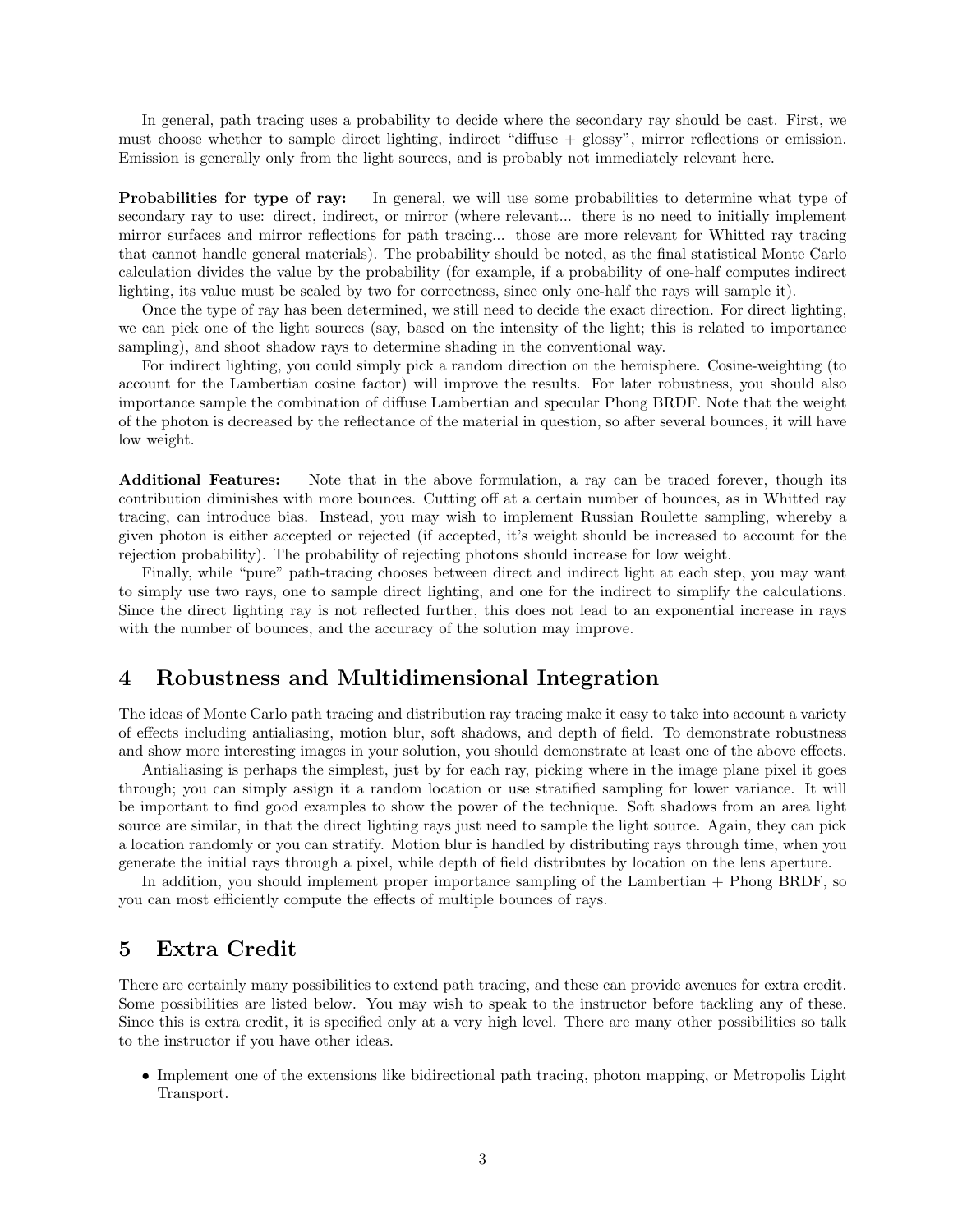In general, path tracing uses a probability to decide where the secondary ray should be cast. First, we must choose whether to sample direct lighting, indirect "diffuse + glossy", mirror reflections or emission. Emission is generally only from the light sources, and is probably not immediately relevant here.

Probabilities for type of ray: In general, we will use some probabilities to determine what type of secondary ray to use: direct, indirect, or mirror (where relevant... there is no need to initially implement mirror surfaces and mirror reflections for path tracing... those are more relevant for Whitted ray tracing that cannot handle general materials). The probability should be noted, as the final statistical Monte Carlo calculation divides the value by the probability (for example, if a probability of one-half computes indirect lighting, its value must be scaled by two for correctness, since only one-half the rays will sample it).

Once the type of ray has been determined, we still need to decide the exact direction. For direct lighting, we can pick one of the light sources (say, based on the intensity of the light; this is related to importance sampling), and shoot shadow rays to determine shading in the conventional way.

For indirect lighting, you could simply pick a random direction on the hemisphere. Cosine-weighting (to account for the Lambertian cosine factor) will improve the results. For later robustness, you should also importance sample the combination of diffuse Lambertian and specular Phong BRDF. Note that the weight of the photon is decreased by the reflectance of the material in question, so after several bounces, it will have low weight.

Additional Features: Note that in the above formulation, a ray can be traced forever, though its contribution diminishes with more bounces. Cutting off at a certain number of bounces, as in Whitted ray tracing, can introduce bias. Instead, you may wish to implement Russian Roulette sampling, whereby a given photon is either accepted or rejected (if accepted, it's weight should be increased to account for the rejection probability). The probability of rejecting photons should increase for low weight.

Finally, while "pure" path-tracing chooses between direct and indirect light at each step, you may want to simply use two rays, one to sample direct lighting, and one for the indirect to simplify the calculations. Since the direct lighting ray is not reflected further, this does not lead to an exponential increase in rays with the number of bounces, and the accuracy of the solution may improve.

### 4 Robustness and Multidimensional Integration

The ideas of Monte Carlo path tracing and distribution ray tracing make it easy to take into account a variety of effects including antialiasing, motion blur, soft shadows, and depth of field. To demonstrate robustness and show more interesting images in your solution, you should demonstrate at least one of the above effects.

Antialiasing is perhaps the simplest, just by for each ray, picking where in the image plane pixel it goes through; you can simply assign it a random location or use stratified sampling for lower variance. It will be important to find good examples to show the power of the technique. Soft shadows from an area light source are similar, in that the direct lighting rays just need to sample the light source. Again, they can pick a location randomly or you can stratify. Motion blur is handled by distributing rays through time, when you generate the initial rays through a pixel, while depth of field distributes by location on the lens aperture.

In addition, you should implement proper importance sampling of the Lambertian + Phong BRDF, so you can most efficiently compute the effects of multiple bounces of rays.

#### 5 Extra Credit

There are certainly many possibilities to extend path tracing, and these can provide avenues for extra credit. Some possibilities are listed below. You may wish to speak to the instructor before tackling any of these. Since this is extra credit, it is specified only at a very high level. There are many other possibilities so talk to the instructor if you have other ideas.

• Implement one of the extensions like bidirectional path tracing, photon mapping, or Metropolis Light Transport.